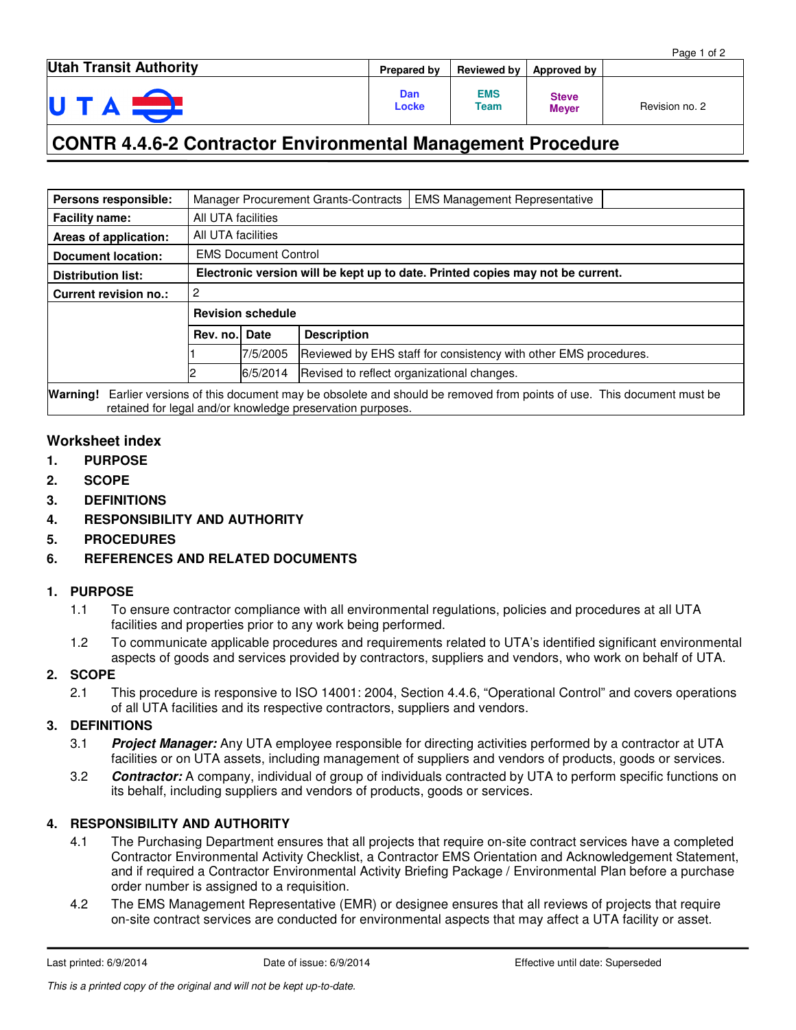|                               |              |                    |                              | Page 1 of 2    |
|-------------------------------|--------------|--------------------|------------------------------|----------------|
| <b>Utah Transit Authority</b> | Prepared by  | Reviewed by        | Approved by                  |                |
| UTA                           | Dan<br>Locke | <b>EMS</b><br>Team | <b>Steve</b><br><b>Meyer</b> | Revision no. 2 |

## **CONTR 4.4.6-2 Contractor Environmental Management Procedure**

| Persons responsible:                                                                                                      |                                                                                |             | Manager Procurement Grants-Contracts | <b>EMS Management Representative</b>                             |  |  |  |
|---------------------------------------------------------------------------------------------------------------------------|--------------------------------------------------------------------------------|-------------|--------------------------------------|------------------------------------------------------------------|--|--|--|
| <b>Facility name:</b>                                                                                                     | All UTA facilities                                                             |             |                                      |                                                                  |  |  |  |
| Areas of application:                                                                                                     | All UTA facilities                                                             |             |                                      |                                                                  |  |  |  |
| <b>Document location:</b>                                                                                                 | <b>EMS Document Control</b>                                                    |             |                                      |                                                                  |  |  |  |
| <b>Distribution list:</b>                                                                                                 | Electronic version will be kept up to date. Printed copies may not be current. |             |                                      |                                                                  |  |  |  |
| Current revision no.:                                                                                                     | 2                                                                              |             |                                      |                                                                  |  |  |  |
|                                                                                                                           | <b>Revision schedule</b>                                                       |             |                                      |                                                                  |  |  |  |
|                                                                                                                           | Rev. no.                                                                       | <b>Date</b> | <b>Description</b>                   |                                                                  |  |  |  |
|                                                                                                                           |                                                                                | 7/5/2005    |                                      | Reviewed by EHS staff for consistency with other EMS procedures. |  |  |  |
|                                                                                                                           |                                                                                | 6/5/2014    |                                      | Revised to reflect organizational changes.                       |  |  |  |
| Weighted Earlier varions of this desument moy be sheelets and should be remoyed from points of use. This desument must be |                                                                                |             |                                      |                                                                  |  |  |  |

**Warning!** Earlier versions of this document may be obsolete and should be removed from points of use. This document must be retained for legal and/or knowledge preservation purposes.

### **Worksheet index**

- **1. PURPOSE**
- **2. SCOPE**
- **3. DEFINITIONS**
- **4. RESPONSIBILITY AND AUTHORITY**
- **5. PROCEDURES**
- **6. REFERENCES AND RELATED DOCUMENTS**

#### **1. PURPOSE**

- 1.1 To ensure contractor compliance with all environmental regulations, policies and procedures at all UTA facilities and properties prior to any work being performed.
- 1.2 To communicate applicable procedures and requirements related to UTA's identified significant environmental aspects of goods and services provided by contractors, suppliers and vendors, who work on behalf of UTA.

#### **2. SCOPE**

2.1 This procedure is responsive to ISO 14001: 2004, Section 4.4.6, "Operational Control" and covers operations of all UTA facilities and its respective contractors, suppliers and vendors.

#### **3. DEFINITIONS**

- 3.1 **Project Manager:** Any UTA employee responsible for directing activities performed by a contractor at UTA facilities or on UTA assets, including management of suppliers and vendors of products, goods or services.
- 3.2 **Contractor:** A company, individual of group of individuals contracted by UTA to perform specific functions on its behalf, including suppliers and vendors of products, goods or services.

#### **4. RESPONSIBILITY AND AUTHORITY**

- 4.1 The Purchasing Department ensures that all projects that require on-site contract services have a completed Contractor Environmental Activity Checklist, a Contractor EMS Orientation and Acknowledgement Statement, and if required a Contractor Environmental Activity Briefing Package / Environmental Plan before a purchase order number is assigned to a requisition.
- 4.2 The EMS Management Representative (EMR) or designee ensures that all reviews of projects that require on-site contract services are conducted for environmental aspects that may affect a UTA facility or asset.